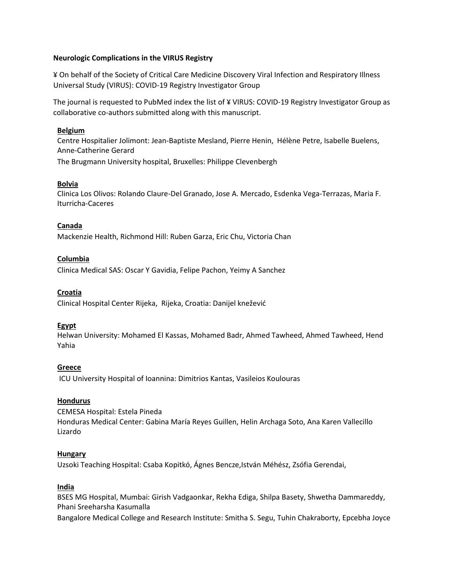### **Neurologic Complications in the VIRUS Registry**

¥ On behalf of the Society of Critical Care Medicine Discovery Viral Infection and Respiratory Illness Universal Study (VIRUS): COVID-19 Registry Investigator Group

The journal is requested to PubMed index the list of ¥ VIRUS: COVID-19 Registry Investigator Group as collaborative co-authors submitted along with this manuscript.

#### **Belgium**

Centre Hospitalier Jolimont: Jean-Baptiste Mesland, Pierre Henin, Hélène Petre, Isabelle Buelens, Anne-Catherine Gerard The Brugmann University hospital, Bruxelles: Philippe Clevenbergh

### **Bolvia**

Clinica Los Olivos: Rolando Claure-Del Granado, Jose A. Mercado, Esdenka Vega-Terrazas, Maria F. Iturricha-Caceres

### **Canada**

Mackenzie Health, Richmond Hill: Ruben Garza, Eric Chu, Victoria Chan

#### **Columbia**

Clinica Medical SAS: Oscar Y Gavidia, Felipe Pachon, Yeimy A Sanchez

#### **Croatia**

Clinical Hospital Center Rijeka, Rijeka, Croatia: Danijel knežević

### **Egypt**

Helwan University: Mohamed El Kassas, Mohamed Badr, Ahmed Tawheed, Ahmed Tawheed, Hend Yahia

### **Greece**

ICU University Hospital of Ioannina: Dimitrios Kantas, Vasileios Koulouras

### **Hondurus**

CEMESA Hospital: Estela Pineda Honduras Medical Center: Gabina María Reyes Guillen, Helin Archaga Soto, Ana Karen Vallecillo Lizardo

#### **Hungary**

Uzsoki Teaching Hospital: Csaba Kopitkó, Ágnes Bencze,István Méhész, Zsófia Gerendai,

### **India**

BSES MG Hospital, Mumbai: Girish Vadgaonkar, Rekha Ediga, Shilpa Basety, Shwetha Dammareddy, Phani Sreeharsha Kasumalla

Bangalore Medical College and Research Institute: Smitha S. Segu, Tuhin Chakraborty, Epcebha Joyce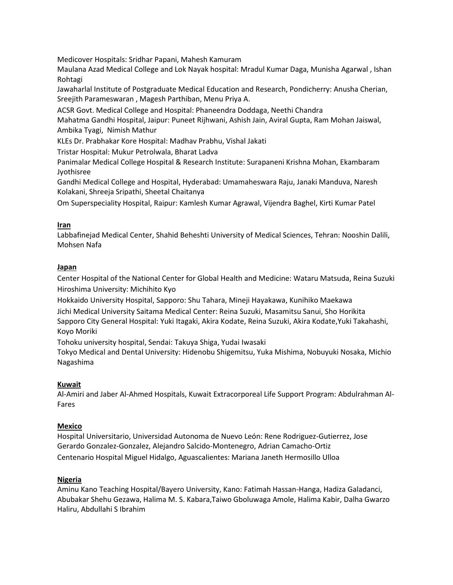Medicover Hospitals: Sridhar Papani, Mahesh Kamuram

Maulana Azad Medical College and Lok Nayak hospital: Mradul Kumar Daga, Munisha Agarwal , Ishan Rohtagi

Jawaharlal Institute of Postgraduate Medical Education and Research, Pondicherry: Anusha Cherian, Sreejith Parameswaran , Magesh Parthiban, Menu Priya A.

ACSR Govt. Medical College and Hospital: Phaneendra Doddaga, Neethi Chandra

Mahatma Gandhi Hospital, Jaipur: Puneet Rijhwani, Ashish Jain, Aviral Gupta, Ram Mohan Jaiswal, Ambika Tyagi, Nimish Mathur

KLEs Dr. Prabhakar Kore Hospital: Madhav Prabhu, Vishal Jakati

Tristar Hospital: Mukur Petrolwala, Bharat Ladva

Panimalar Medical College Hospital & Research Institute: Surapaneni Krishna Mohan, Ekambaram Jyothisree

Gandhi Medical College and Hospital, Hyderabad: Umamaheswara Raju, Janaki Manduva, Naresh Kolakani, Shreeja Sripathi, Sheetal Chaitanya

Om Superspeciality Hospital, Raipur: Kamlesh Kumar Agrawal, Vijendra Baghel, Kirti Kumar Patel

### **Iran**

Labbafinejad Medical Center, Shahid Beheshti University of Medical Sciences, Tehran: Nooshin Dalili, Mohsen Nafa

# **Japan**

Center Hospital of the National Center for Global Health and Medicine: Wataru Matsuda, Reina Suzuki Hiroshima University: Michihito Kyo

Hokkaido University Hospital, Sapporo: Shu Tahara, Mineji Hayakawa, Kunihiko Maekawa Jichi Medical University Saitama Medical Center: Reina Suzuki, Masamitsu Sanui, Sho Horikita Sapporo City General Hospital: Yuki Itagaki, Akira Kodate, Reina Suzuki, Akira Kodate,Yuki Takahashi, Koyo Moriki

Tohoku university hospital, Sendai: Takuya Shiga, Yudai Iwasaki

Tokyo Medical and Dental University: Hidenobu Shigemitsu, Yuka Mishima, Nobuyuki Nosaka, Michio Nagashima

# **Kuwait**

Al-Amiri and Jaber Al-Ahmed Hospitals, Kuwait Extracorporeal Life Support Program: Abdulrahman Al-Fares

# **Mexico**

Hospital Universitario, Universidad Autonoma de Nuevo León: Rene Rodriguez-Gutierrez, Jose Gerardo Gonzalez-Gonzalez, Alejandro Salcido-Montenegro, Adrian Camacho-Ortiz Centenario Hospital Miguel Hidalgo, Aguascalientes: Mariana Janeth Hermosillo Ulloa

# **Nigeria**

Aminu Kano Teaching Hospital/Bayero University, Kano: Fatimah Hassan-Hanga, Hadiza Galadanci, Abubakar Shehu Gezawa, Halima M. S. Kabara,Taiwo Gboluwaga Amole, Halima Kabir, Dalha Gwarzo Haliru, Abdullahi S Ibrahim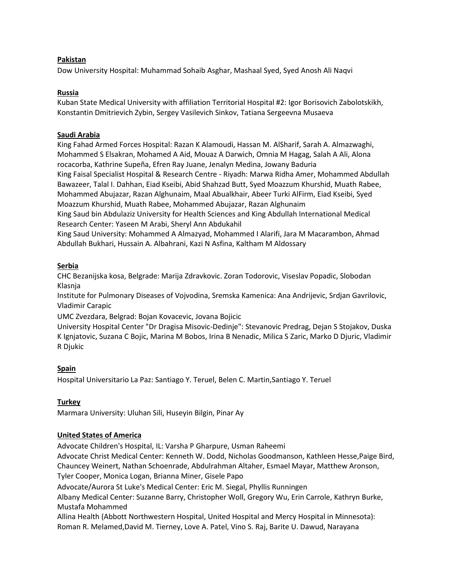### **Pakistan**

Dow University Hospital: Muhammad Sohaib Asghar, Mashaal Syed, Syed Anosh Ali Naqvi

### **Russia**

Kuban State Medical University with affiliation Territorial Hospital #2: Igor Borisovich Zabolotskikh, Konstantin Dmitrievich Zybin, Sergey Vasilevich Sinkov, Tatiana Sergeevna Musaeva

### **Saudi Arabia**

King Fahad Armed Forces Hospital: Razan K Alamoudi, Hassan M. AlSharif, Sarah A. Almazwaghi, Mohammed S Elsakran, Mohamed A Aid, Mouaz A Darwich, Omnia M Hagag, Salah A Ali, Alona rocacorba, Kathrine Supeña, Efren Ray Juane, Jenalyn Medina, Jowany Baduria King Faisal Specialist Hospital & Research Centre - Riyadh: Marwa Ridha Amer, Mohammed Abdullah Bawazeer, Talal I. Dahhan, Eiad Kseibi, Abid Shahzad Butt, Syed Moazzum Khurshid, Muath Rabee, Mohammed Abujazar, Razan Alghunaim, Maal Abualkhair, Abeer Turki AlFirm, Eiad Kseibi, Syed Moazzum Khurshid, Muath Rabee, Mohammed Abujazar, Razan Alghunaim

King Saud bin Abdulaziz University for Health Sciences and King Abdullah International Medical Research Center: Yaseen M Arabi, Sheryl Ann Abdukahil

King Saud University: Mohammed A Almazyad, Mohammed I Alarifi, Jara M Macarambon, Ahmad Abdullah Bukhari, Hussain A. Albahrani, Kazi N Asfina, Kaltham M Aldossary

# **Serbia**

CHC Bezanijska kosa, Belgrade: Marija Zdravkovic. Zoran Todorovic, Viseslav Popadic, Slobodan Klasnja

Institute for Pulmonary Diseases of Vojvodina, Sremska Kamenica: Ana Andrijevic, Srdjan Gavrilovic, Vladimir Carapic

UMC Zvezdara, Belgrad: Bojan Kovacevic, Jovana Bojicic

University Hospital Center "Dr Dragisa Misovic-Dedinje": Stevanovic Predrag, Dejan S Stojakov, Duska K Ignjatovic, Suzana C Bojic, Marina M Bobos, Irina B Nenadic, Milica S Zaric, Marko D Djuric, Vladimir R Djukic

### **Spain**

Hospital Universitario La Paz: Santiago Y. Teruel, Belen C. Martin,Santiago Y. Teruel

# **Turkey**

Marmara University: Uluhan Sili, Huseyin Bilgin, Pinar Ay

# **United States of America**

Advocate Children's Hospital, IL: Varsha P Gharpure, Usman Raheemi

Advocate Christ Medical Center: Kenneth W. Dodd, Nicholas Goodmanson, Kathleen Hesse,Paige Bird, Chauncey Weinert, Nathan Schoenrade, Abdulrahman Altaher, Esmael Mayar, Matthew Aronson, Tyler Cooper, Monica Logan, Brianna Miner, Gisele Papo

Advocate/Aurora St Luke's Medical Center: Eric M. Siegal, Phyllis Runningen

Albany Medical Center: Suzanne Barry, Christopher Woll, Gregory Wu, Erin Carrole, Kathryn Burke, Mustafa Mohammed

Allina Health (Abbott Northwestern Hospital, United Hospital and Mercy Hospital in Minnesota): Roman R. Melamed,David M. Tierney, Love A. Patel, Vino S. Raj, Barite U. Dawud, Narayana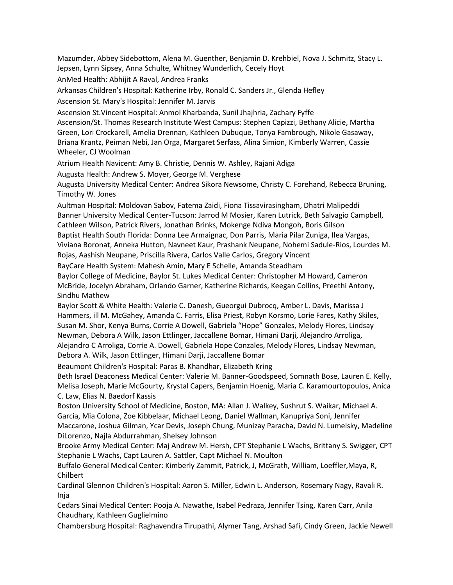Mazumder, Abbey Sidebottom, Alena M. Guenther, Benjamin D. Krehbiel, Nova J. Schmitz, Stacy L. Jepsen, Lynn Sipsey, Anna Schulte, Whitney Wunderlich, Cecely Hoyt AnMed Health: Abhijit A Raval, Andrea Franks Arkansas Children's Hospital: Katherine Irby, Ronald C. Sanders Jr., Glenda Hefley Ascension St. Mary's Hospital: Jennifer M. Jarvis Ascension St.Vincent Hospital: Anmol Kharbanda, Sunil Jhajhria, Zachary Fyffe Ascension/St. Thomas Research Institute West Campus: Stephen Capizzi, Bethany Alicie, Martha Green, Lori Crockarell, Amelia Drennan, Kathleen Dubuque, Tonya Fambrough, Nikole Gasaway, Briana Krantz, Peiman Nebi, Jan Orga, Margaret Serfass, Alina Simion, Kimberly Warren, Cassie Wheeler, CJ Woolman Atrium Health Navicent: Amy B. Christie, Dennis W. Ashley, Rajani Adiga Augusta Health: Andrew S. Moyer, George M. Verghese Augusta University Medical Center: Andrea Sikora Newsome, Christy C. Forehand, Rebecca Bruning, Timothy W. Jones Aultman Hospital: Moldovan Sabov, Fatema Zaidi, Fiona Tissavirasingham, Dhatri Malipeddi Banner University Medical Center-Tucson: Jarrod M Mosier, Karen Lutrick, Beth Salvagio Campbell, Cathleen Wilson, Patrick Rivers, Jonathan Brinks, Mokenge Ndiva Mongoh, Boris Gilson Baptist Health South Florida: Donna Lee Armaignac, Don Parris, Maria Pilar Zuniga, Ilea Vargas, Viviana Boronat, Anneka Hutton, Navneet Kaur, Prashank Neupane, Nohemi Sadule-Rios, Lourdes M. Rojas, Aashish Neupane, Priscilla Rivera, Carlos Valle Carlos, Gregory Vincent BayCare Health System: Mahesh Amin, Mary E Schelle, Amanda Steadham Baylor College of Medicine, Baylor St. Lukes Medical Center: Christopher M Howard, Cameron McBride, Jocelyn Abraham, Orlando Garner, Katherine Richards, Keegan Collins, Preethi Antony, Sindhu Mathew Baylor Scott & White Health: Valerie C. Danesh, Gueorgui Dubrocq, Amber L. Davis, Marissa J Hammers, ill M. McGahey, Amanda C. Farris, Elisa Priest, Robyn Korsmo, Lorie Fares, Kathy Skiles, Susan M. Shor, Kenya Burns, Corrie A Dowell, Gabriela "Hope" Gonzales, Melody Flores, Lindsay Newman, Debora A Wilk, Jason Ettlinger, Jaccallene Bomar, Himani Darji, Alejandro Arroliga, Alejandro C Arroliga, Corrie A. Dowell, Gabriela Hope Conzales, Melody Flores, Lindsay Newman, Debora A. Wilk, Jason Ettlinger, Himani Darji, Jaccallene Bomar Beaumont Children's Hospital: Paras B. Khandhar, Elizabeth Kring Beth Israel Deaconess Medical Center: Valerie M. Banner-Goodspeed, Somnath Bose, Lauren E. Kelly, Melisa Joseph, Marie McGourty, Krystal Capers, Benjamin Hoenig, Maria C. Karamourtopoulos, Anica C. Law, Elias N. Baedorf Kassis Boston University School of Medicine, Boston, MA: Allan J. Walkey, Sushrut S. Waikar, Michael A. Garcia, Mia Colona, Zoe Kibbelaar, Michael Leong, Daniel Wallman, Kanupriya Soni, Jennifer Maccarone, Joshua Gilman, Ycar Devis, Joseph Chung, Munizay Paracha, David N. Lumelsky, Madeline DiLorenzo, Najla Abdurrahman, Shelsey Johnson Brooke Army Medical Center: Maj Andrew M. Hersh, CPT Stephanie L Wachs, Brittany S. Swigger, CPT

Stephanie L Wachs, Capt Lauren A. Sattler, Capt Michael N. Moulton

Buffalo General Medical Center: Kimberly Zammit, Patrick, J, McGrath, William, Loeffler,Maya, R, Chilbert

Cardinal Glennon Children's Hospital: Aaron S. Miller, Edwin L. Anderson, Rosemary Nagy, Ravali R. Inja

Cedars Sinai Medical Center: Pooja A. Nawathe, Isabel Pedraza, Jennifer Tsing, Karen Carr, Anila Chaudhary, Kathleen Guglielmino

Chambersburg Hospital: Raghavendra Tirupathi, Alymer Tang, Arshad Safi, Cindy Green, Jackie Newell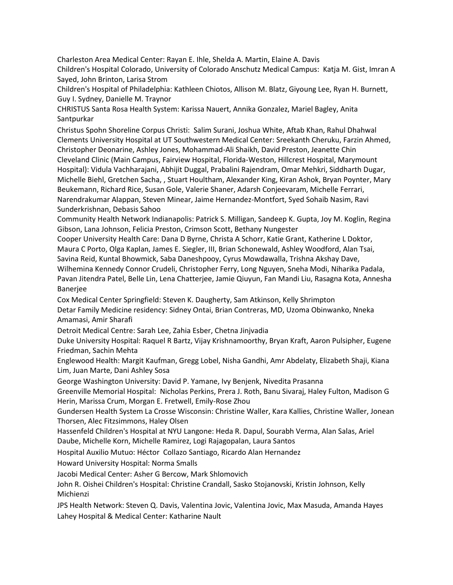Charleston Area Medical Center: Rayan E. Ihle, Shelda A. Martin, Elaine A. Davis Children's Hospital Colorado, University of Colorado Anschutz Medical Campus: Katja M. Gist, Imran A Sayed, John Brinton, Larisa Strom

Children's Hospital of Philadelphia: Kathleen Chiotos, Allison M. Blatz, Giyoung Lee, Ryan H. Burnett, Guy I. Sydney, Danielle M. Traynor

CHRISTUS Santa Rosa Health System: Karissa Nauert, Annika Gonzalez, Mariel Bagley, Anita Santpurkar

Christus Spohn Shoreline Corpus Christi: Salim Surani, Joshua White, Aftab Khan, Rahul Dhahwal Clements University Hospital at UT Southwestern Medical Center: Sreekanth Cheruku, Farzin Ahmed, Christopher Deonarine, Ashley Jones, Mohammad-Ali Shaikh, David Preston, Jeanette Chin Cleveland Clinic (Main Campus, Fairview Hospital, Florida-Weston, Hillcrest Hospital, Marymount Hospital): Vidula Vachharajani, Abhijit Duggal, Prabalini Rajendram, Omar Mehkri, Siddharth Dugar, Michelle Biehl, Gretchen Sacha, , Stuart Houltham, Alexander King, Kiran Ashok, Bryan Poynter, Mary Beukemann, Richard Rice, Susan Gole, Valerie Shaner, Adarsh Conjeevaram, Michelle Ferrari, Narendrakumar Alappan, Steven Minear, Jaime Hernandez-Montfort, Syed Sohaib Nasim, Ravi Sunderkrishnan, Debasis Sahoo

Community Health Network Indianapolis: Patrick S. Milligan, Sandeep K. Gupta, Joy M. Koglin, Regina Gibson, Lana Johnson, Felicia Preston, Crimson Scott, Bethany Nungester

Cooper University Health Care: Dana D Byrne, Christa A Schorr, Katie Grant, Katherine L Doktor, Maura C Porto, Olga Kaplan, James E. Siegler, III, Brian Schonewald, Ashley Woodford, Alan Tsai, Savina Reid, Kuntal Bhowmick, Saba Daneshpooy, Cyrus Mowdawalla, Trishna Akshay Dave, Wilhemina Kennedy Connor Crudeli, Christopher Ferry, Long Nguyen, Sneha Modi, Niharika Padala, Pavan Jitendra Patel, Belle Lin, Lena Chatterjee, Jamie Qiuyun, Fan Mandi Liu, Rasagna Kota, Annesha Banerjee

Cox Medical Center Springfield: Steven K. Daugherty, Sam Atkinson, Kelly Shrimpton Detar Family Medicine residency: Sidney Ontai, Brian Contreras, MD, Uzoma Obinwanko, Nneka Amamasi, Amir Sharafi

Detroit Medical Centre: Sarah Lee, Zahia Esber, Chetna Jinjvadia

Duke University Hospital: Raquel R Bartz, Vijay Krishnamoorthy, Bryan Kraft, Aaron Pulsipher, Eugene Friedman, Sachin Mehta

Englewood Health: Margit Kaufman, Gregg Lobel, Nisha Gandhi, Amr Abdelaty, Elizabeth Shaji, Kiana Lim, Juan Marte, Dani Ashley Sosa

George Washington University: David P. Yamane, Ivy Benjenk, Nivedita Prasanna

Greenville Memorial Hospital: Nicholas Perkins, Prera J. Roth, Banu Sivaraj, Haley Fulton, Madison G Herin, Marissa Crum, Morgan E. Fretwell, Emily-Rose Zhou

Gundersen Health System La Crosse Wisconsin: Christine Waller, Kara Kallies, Christine Waller, Jonean Thorsen, Alec Fitzsimmons, Haley Olsen

Hassenfeld Children's Hospital at NYU Langone: Heda R. Dapul, Sourabh Verma, Alan Salas, Ariel Daube, Michelle Korn, Michelle Ramirez, Logi Rajagopalan, Laura Santos

Hospital Auxilio Mutuo: Héctor Collazo Santiago, Ricardo Alan Hernandez

Howard University Hospital: Norma Smalls

Jacobi Medical Center: Asher G Bercow, Mark Shlomovich

John R. Oishei Children's Hospital: Christine Crandall, Sasko Stojanovski, Kristin Johnson, Kelly Michienzi

JPS Health Network: Steven Q. Davis, Valentina Jovic, Valentina Jovic, Max Masuda, Amanda Hayes Lahey Hospital & Medical Center: Katharine Nault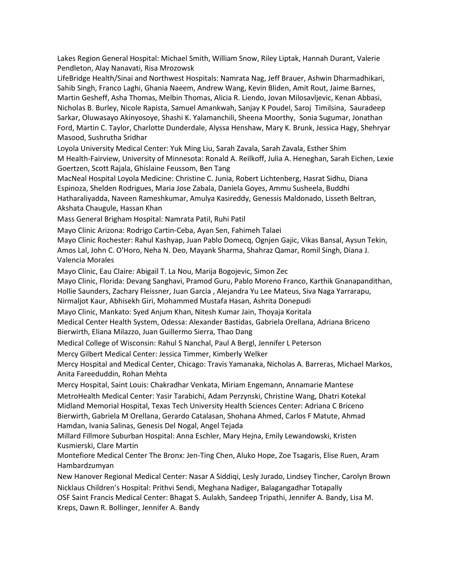Lakes Region General Hospital: Michael Smith, William Snow, Riley Liptak, Hannah Durant, Valerie Pendleton, Alay Nanavati, Risa Mrozowsk

LifeBridge Health/Sinai and Northwest Hospitals: Namrata Nag, Jeff Brauer, Ashwin Dharmadhikari, Sahib Singh, Franco Laghi, Ghania Naeem, Andrew Wang, Kevin Bliden, Amit Rout, Jaime Barnes, Martin Gesheff, Asha Thomas, Melbin Thomas, Alicia R. Liendo, Jovan Milosavljevic, Kenan Abbasi, Nicholas B. Burley, Nicole Rapista, Samuel Amankwah, Sanjay K Poudel, Saroj Timilsina, Sauradeep Sarkar, Oluwasayo Akinyosoye, Shashi K. Yalamanchili, Sheena Moorthy, Sonia Sugumar, Jonathan Ford, Martin C. Taylor, Charlotte Dunderdale, Alyssa Henshaw, Mary K. Brunk, Jessica Hagy, Shehryar Masood, Sushrutha Sridhar

Loyola University Medical Center: Yuk Ming Liu, Sarah Zavala, Sarah Zavala, Esther Shim M Health-Fairview, University of Minnesota: Ronald A. Reilkoff, Julia A. Heneghan, Sarah Eichen, Lexie Goertzen, Scott Rajala, Ghislaine Feussom, Ben Tang

MacNeal Hospital Loyola Medicine: Christine C. Junia, Robert Lichtenberg, Hasrat Sidhu, Diana Espinoza, Shelden Rodrigues, Maria Jose Zabala, Daniela Goyes, Ammu Susheela, Buddhi Hatharaliyadda, Naveen Rameshkumar, Amulya Kasireddy, Genessis Maldonado, Lisseth Beltran, Akshata Chaugule, Hassan Khan

Mass General Brigham Hospital: Namrata Patil, Ruhi Patil

Mayo Clinic Arizona: Rodrigo Cartin-Ceba, Ayan Sen, Fahimeh Talaei

Mayo Clinic Rochester: Rahul Kashyap, Juan Pablo Domecq, Ognjen Gajic, Vikas Bansal, Aysun Tekin, Amos Lal, John C. O'Horo, Neha N. Deo, Mayank Sharma, Shahraz Qamar, Romil Singh, Diana J. Valencia Morales

Mayo Clinic, Eau Claire: Abigail T. La Nou, Marija Bogojevic, Simon Zec

Mayo Clinic, Florida: Devang Sanghavi, Pramod Guru, Pablo Moreno Franco, Karthik Gnanapandithan, Hollie Saunders, Zachary Fleissner, Juan Garcia , Alejandra Yu Lee Mateus, Siva Naga Yarrarapu, Nirmaljot Kaur, Abhisekh Giri, Mohammed Mustafa Hasan, Ashrita Donepudi

Mayo Clinic, Mankato: Syed Anjum Khan, Nitesh Kumar Jain, Thoyaja Koritala

Medical Center Health System, Odessa: Alexander Bastidas, Gabriela Orellana, Adriana Briceno Bierwirth, Eliana Milazzo, Juan Guillermo Sierra, Thao Dang

Medical College of Wisconsin: Rahul S Nanchal, Paul A Bergl, Jennifer L Peterson

Mercy Gilbert Medical Center: Jessica Timmer, Kimberly Welker

Mercy Hospital and Medical Center, Chicago: Travis Yamanaka, Nicholas A. Barreras, Michael Markos, Anita Fareeduddin, Rohan Mehta

Mercy Hospital, Saint Louis: Chakradhar Venkata, Miriam Engemann, Annamarie Mantese

MetroHealth Medical Center: Yasir Tarabichi, Adam Perzynski, Christine Wang, Dhatri Kotekal Midland Memorial Hospital, Texas Tech University Health Sciences Center: Adriana C Briceno Bierwirth, Gabriela M Orellana, Gerardo Catalasan, Shohana Ahmed, Carlos F Matute, Ahmad Hamdan, Ivania Salinas, Genesis Del Nogal, Angel Tejada

Millard Fillmore Suburban Hospital: Anna Eschler, Mary Hejna, Emily Lewandowski, Kristen Kusmierski, Clare Martin

Montefiore Medical Center The Bronx: Jen-Ting Chen, Aluko Hope, Zoe Tsagaris, Elise Ruen, Aram Hambardzumyan

New Hanover Regional Medical Center: Nasar A Siddiqi, Lesly Jurado, Lindsey Tincher, Carolyn Brown Nicklaus Children's Hospital: Prithvi Sendi, Meghana Nadiger, Balagangadhar Totapally

OSF Saint Francis Medical Center: Bhagat S. Aulakh, Sandeep Tripathi, Jennifer A. Bandy, Lisa M. Kreps, Dawn R. Bollinger, Jennifer A. Bandy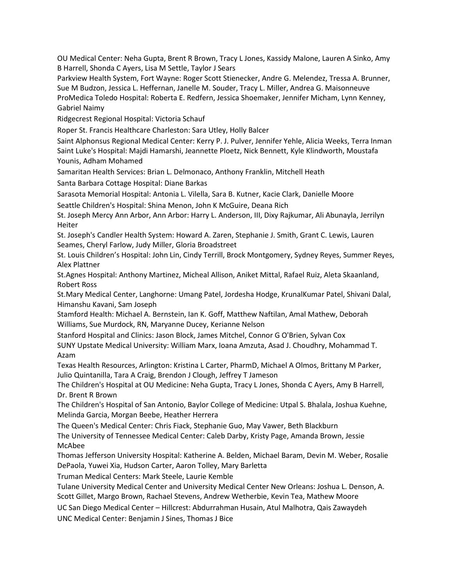OU Medical Center: Neha Gupta, Brent R Brown, Tracy L Jones, Kassidy Malone, Lauren A Sinko, Amy B Harrell, Shonda C Ayers, Lisa M Settle, Taylor J Sears

Parkview Health System, Fort Wayne: Roger Scott Stienecker, Andre G. Melendez, Tressa A. Brunner, Sue M Budzon, Jessica L. Heffernan, Janelle M. Souder, Tracy L. Miller, Andrea G. Maisonneuve ProMedica Toledo Hospital: Roberta E. Redfern, Jessica Shoemaker, Jennifer Micham, Lynn Kenney, Gabriel Naimy

Ridgecrest Regional Hospital: Victoria Schauf

Roper St. Francis Healthcare Charleston: Sara Utley, Holly Balcer

Saint Alphonsus Regional Medical Center: Kerry P. J. Pulver, Jennifer Yehle, Alicia Weeks, Terra Inman Saint Luke's Hospital: Majdi Hamarshi, Jeannette Ploetz, Nick Bennett, Kyle Klindworth, Moustafa Younis, Adham Mohamed

Samaritan Health Services: Brian L. Delmonaco, Anthony Franklin, Mitchell Heath

Santa Barbara Cottage Hospital: Diane Barkas

Sarasota Memorial Hospital: Antonia L. Vilella, Sara B. Kutner, Kacie Clark, Danielle Moore

Seattle Children's Hospital: Shina Menon, John K McGuire, Deana Rich

St. Joseph Mercy Ann Arbor, Ann Arbor: Harry L. Anderson, III, Dixy Rajkumar, Ali Abunayla, Jerrilyn Heiter

St. Joseph's Candler Health System: Howard A. Zaren, Stephanie J. Smith, Grant C. Lewis, Lauren Seames, Cheryl Farlow, Judy Miller, Gloria Broadstreet

St. Louis Children's Hospital: John Lin, Cindy Terrill, Brock Montgomery, Sydney Reyes, Summer Reyes, Alex Plattner

St.Agnes Hospital: Anthony Martinez, Micheal Allison, Aniket Mittal, Rafael Ruiz, Aleta Skaanland, Robert Ross

St.Mary Medical Center, Langhorne: Umang Patel, Jordesha Hodge, KrunalKumar Patel, Shivani Dalal, Himanshu Kavani, Sam Joseph

Stamford Health: Michael A. Bernstein, Ian K. Goff, Matthew Naftilan, Amal Mathew, Deborah Williams, Sue Murdock, RN, Maryanne Ducey, Kerianne Nelson

Stanford Hospital and Clinics: Jason Block, James Mitchel, Connor G O'Brien, Sylvan Cox SUNY Upstate Medical University: William Marx, Ioana Amzuta, Asad J. Choudhry, Mohammad T. Azam

Texas Health Resources, Arlington: Kristina L Carter, PharmD, Michael A Olmos, Brittany M Parker, Julio Quintanilla, Tara A Craig, Brendon J Clough, Jeffrey T Jameson

The Children's Hospital at OU Medicine: Neha Gupta, Tracy L Jones, Shonda C Ayers, Amy B Harrell, Dr. Brent R Brown

The Children's Hospital of San Antonio, Baylor College of Medicine: Utpal S. Bhalala, Joshua Kuehne, Melinda Garcia, Morgan Beebe, Heather Herrera

The Queen's Medical Center: Chris Fiack, Stephanie Guo, May Vawer, Beth Blackburn

The University of Tennessee Medical Center: Caleb Darby, Kristy Page, Amanda Brown, Jessie McAbee

Thomas Jefferson University Hospital: Katherine A. Belden, Michael Baram, Devin M. Weber, Rosalie DePaola, Yuwei Xia, Hudson Carter, Aaron Tolley, Mary Barletta

Truman Medical Centers: Mark Steele, Laurie Kemble

Tulane University Medical Center and University Medical Center New Orleans: Joshua L. Denson, A. Scott Gillet, Margo Brown, Rachael Stevens, Andrew Wetherbie, Kevin Tea, Mathew Moore

UC San Diego Medical Center – Hillcrest: Abdurrahman Husain, Atul Malhotra, Qais Zawaydeh

UNC Medical Center: Benjamin J Sines, Thomas J Bice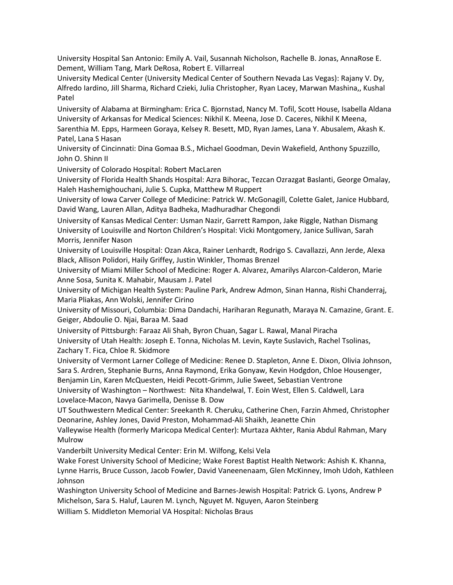University Hospital San Antonio: Emily A. Vail, Susannah Nicholson, Rachelle B. Jonas, AnnaRose E. Dement, William Tang, Mark DeRosa, Robert E. Villarreal

University Medical Center (University Medical Center of Southern Nevada Las Vegas): Rajany V. Dy, Alfredo Iardino, Jill Sharma, Richard Czieki, Julia Christopher, Ryan Lacey, Marwan Mashina,, Kushal Patel

University of Alabama at Birmingham: Erica C. Bjornstad, Nancy M. Tofil, Scott House, Isabella Aldana University of Arkansas for Medical Sciences: Nikhil K. Meena, Jose D. Caceres, Nikhil K Meena,

Sarenthia M. Epps, Harmeen Goraya, Kelsey R. Besett, MD, Ryan James, Lana Y. Abusalem, Akash K. Patel, Lana S Hasan

University of Cincinnati: Dina Gomaa B.S., Michael Goodman, Devin Wakefield, Anthony Spuzzillo, John O. Shinn II

University of Colorado Hospital: Robert MacLaren

University of Florida Health Shands Hospital: Azra Bihorac, Tezcan Ozrazgat Baslanti, George Omalay, Haleh Hashemighouchani, Julie S. Cupka, Matthew M Ruppert

University of Iowa Carver College of Medicine: Patrick W. McGonagill, Colette Galet, Janice Hubbard, David Wang, Lauren Allan, Aditya Badheka, Madhuradhar Chegondi

University of Kansas Medical Center: Usman Nazir, Garrett Rampon, Jake Riggle, Nathan Dismang University of Louisville and Norton Children's Hospital: Vicki Montgomery, Janice Sullivan, Sarah Morris, Jennifer Nason

University of Louisville Hospital: Ozan Akca, Rainer Lenhardt, Rodrigo S. Cavallazzi, Ann Jerde, Alexa Black, Allison Polidori, Haily Griffey, Justin Winkler, Thomas Brenzel

University of Miami Miller School of Medicine: Roger A. Alvarez, Amarilys Alarcon-Calderon, Marie Anne Sosa, Sunita K. Mahabir, Mausam J. Patel

University of Michigan Health System: Pauline Park, Andrew Admon, Sinan Hanna, Rishi Chanderraj, Maria Pliakas, Ann Wolski, Jennifer Cirino

University of Missouri, Columbia: Dima Dandachi, Hariharan Regunath, Maraya N. Camazine, Grant. E. Geiger, Abdoulie O. Njai, Baraa M. Saad

University of Pittsburgh: Faraaz Ali Shah, Byron Chuan, Sagar L. Rawal, Manal Piracha University of Utah Health: Joseph E. Tonna, Nicholas M. Levin, Kayte Suslavich, Rachel Tsolinas, Zachary T. Fica, Chloe R. Skidmore

University of Vermont Larner College of Medicine: Renee D. Stapleton, Anne E. Dixon, Olivia Johnson, Sara S. Ardren, Stephanie Burns, Anna Raymond, Erika Gonyaw, Kevin Hodgdon, Chloe Housenger, Benjamin Lin, Karen McQuesten, Heidi Pecott-Grimm, Julie Sweet, Sebastian Ventrone

University of Washington – Northwest: Nita Khandelwal, T. Eoin West, Ellen S. Caldwell, Lara Lovelace-Macon, Navya Garimella, Denisse B. Dow

UT Southwestern Medical Center: Sreekanth R. Cheruku, Catherine Chen, Farzin Ahmed, Christopher Deonarine, Ashley Jones, David Preston, Mohammad-Ali Shaikh, Jeanette Chin

Valleywise Health (formerly Maricopa Medical Center): Murtaza Akhter, Rania Abdul Rahman, Mary Mulrow

Vanderbilt University Medical Center: Erin M. Wilfong, Kelsi Vela

Wake Forest University School of Medicine; Wake Forest Baptist Health Network: Ashish K. Khanna, Lynne Harris, Bruce Cusson, Jacob Fowler, David Vaneenenaam, Glen McKinney, Imoh Udoh, Kathleen Johnson

Washington University School of Medicine and Barnes-Jewish Hospital: Patrick G. Lyons, Andrew P Michelson, Sara S. Haluf, Lauren M. Lynch, Nguyet M. Nguyen, Aaron Steinberg

William S. Middleton Memorial VA Hospital: Nicholas Braus